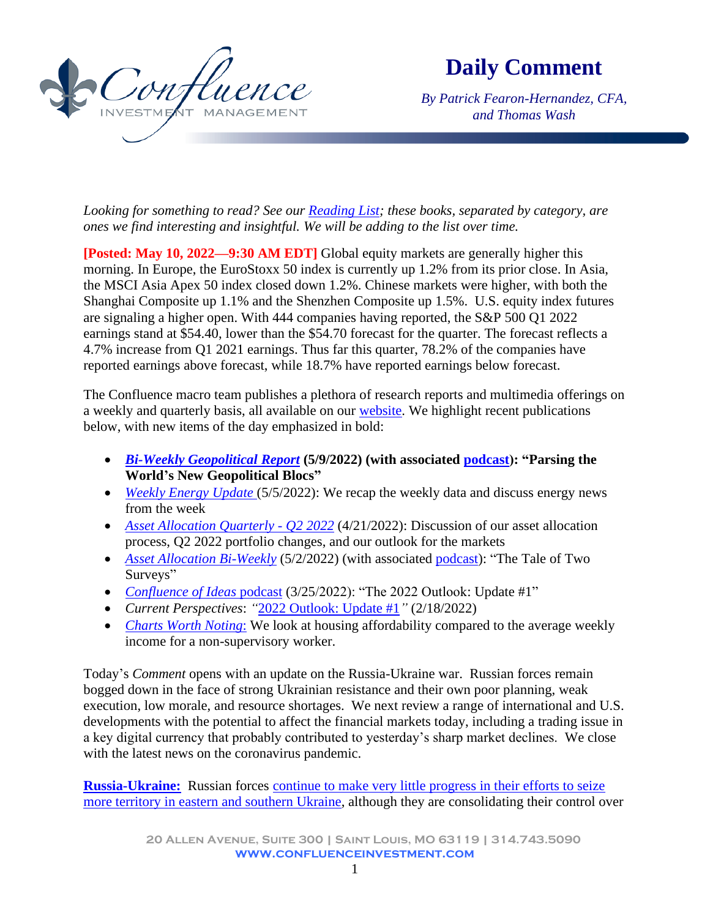

**Daily Comment**

*By Patrick Fearon-Hernandez, CFA, and Thomas Wash*

*Looking for something to read? See our [Reading List;](http://www.confluenceinvestment.com/research-news/reading-list/) these books, separated by category, are ones we find interesting and insightful. We will be adding to the list over time.*

**[Posted: May 10, 2022—9:30 AM EDT]** Global equity markets are generally higher this morning. In Europe, the EuroStoxx 50 index is currently up 1.2% from its prior close. In Asia, the MSCI Asia Apex 50 index closed down 1.2%. Chinese markets were higher, with both the Shanghai Composite up 1.1% and the Shenzhen Composite up 1.5%. U.S. equity index futures are signaling a higher open. With 444 companies having reported, the S&P 500 Q1 2022 earnings stand at \$54.40, lower than the \$54.70 forecast for the quarter. The forecast reflects a 4.7% increase from Q1 2021 earnings. Thus far this quarter, 78.2% of the companies have reported earnings above forecast, while 18.7% have reported earnings below forecast.

The Confluence macro team publishes a plethora of research reports and multimedia offerings on a weekly and quarterly basis, all available on our [website.](https://www.confluenceinvestment.com/research-news/) We highlight recent publications below, with new items of the day emphasized in bold:

- *[Bi-Weekly Geopolitical Report](https://www.confluenceinvestment.com/wp-content/uploads/weekly_geopolitical_report_5_9_2022.pdf)* **(5/9/2022) (with associated [podcast\)](https://www.confluenceinvestment.com/category/podcasts/geopolitical-podcast/): "Parsing the World's New Geopolitical Blocs"**
- *Weekly Energy Update* (5/5/2022): We recap the weekly data and discuss energy news from [the week](https://www.confluenceinvestment.com/wp-content/uploads/wkly_energy_May_05_2022.pdf)
- *[Asset Allocation Quarterly -](https://www.confluenceinvestment.com/wp-content/uploads/Asset_Allocation_Quarterly_Q222.pdf) Q2 2022* (4/21/2022): Discussion of our asset allocation process, Q2 2022 portfolio changes, and our outlook for the markets
- *[Asset Allocation Bi-Weekly](https://www.confluenceinvestment.com/wp-content/uploads/AAW_May_2_2022.pdf)* (5/2/2022) (with associated [podcast\)](https://www.confluenceinvestment.com/category/podcasts/asset-allocation-weekly-podcast/): "The Tale of Two Surveys"
- *[Confluence of Ideas](https://www.confluenceinvestment.com/category/podcasts/confluence-of-ideas/)* podcast (3/25/2022): "The 2022 Outlook: Update #1"
- *Current Perspectives*: *"*[2022 Outlook: Update](https://www.confluenceinvestment.com/wp-content/uploads/2022_Outlook_Update1_Feb2022.pdf) #1*"* (2/18/2022)
- *[Charts Worth Noting](#page-6-0)*: We look at housing affordability compared to the average weekly income for a non-supervisory worker.

Today's *Comment* opens with an update on the Russia-Ukraine war. Russian forces remain bogged down in the face of strong Ukrainian resistance and their own poor planning, weak execution, low morale, and resource shortages. We next review a range of international and U.S. developments with the potential to affect the financial markets today, including a trading issue in a key digital currency that probably contributed to yesterday's sharp market declines. We close with the latest news on the coronavirus pandemic.

**[Russia-Ukraine:](https://www.rferl.org/a/ukraine-russia-crisis-crosshairs-live-briefing/31668477.html)** Russian forces [continue to make very little progress in their efforts to seize](https://www.understandingwar.org/backgrounder/russian-offensive-campaign-assessment-may-9)  [more territory in eastern and southern Ukraine,](https://www.understandingwar.org/backgrounder/russian-offensive-campaign-assessment-may-9) although they are consolidating their control over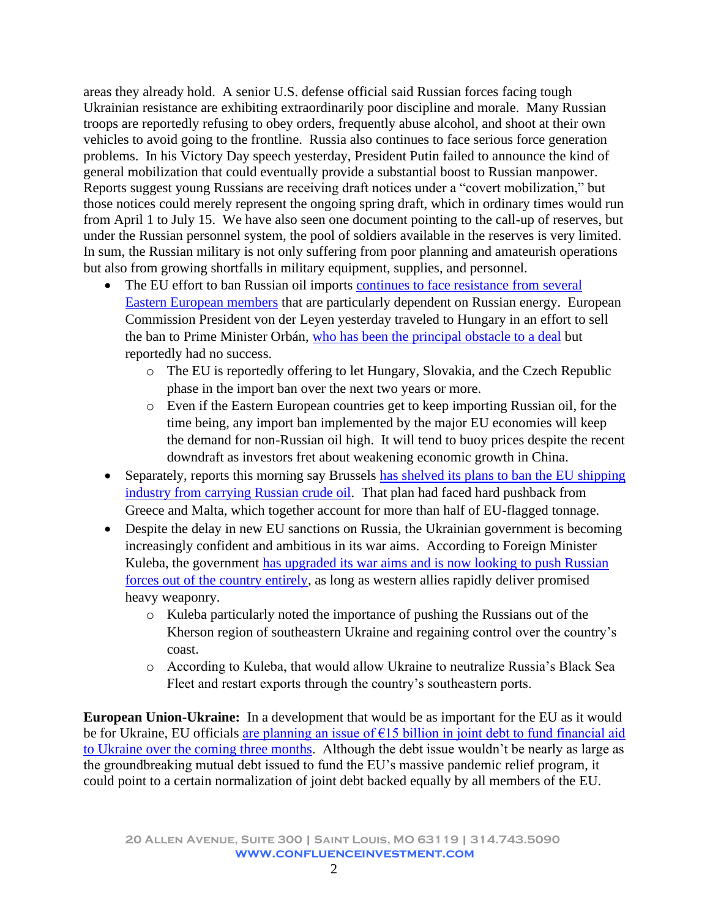areas they already hold. A senior U.S. defense official said Russian forces facing tough Ukrainian resistance are exhibiting extraordinarily poor discipline and morale. Many Russian troops are reportedly refusing to obey orders, frequently abuse alcohol, and shoot at their own vehicles to avoid going to the frontline. Russia also continues to face serious force generation problems. In his Victory Day speech yesterday, President Putin failed to announce the kind of general mobilization that could eventually provide a substantial boost to Russian manpower. Reports suggest young Russians are receiving draft notices under a "covert mobilization," but those notices could merely represent the ongoing spring draft, which in ordinary times would run from April 1 to July 15. We have also seen one document pointing to the call-up of reserves, but under the Russian personnel system, the pool of soldiers available in the reserves is very limited. In sum, the Russian military is not only suffering from poor planning and amateurish operations but also from growing shortfalls in military equipment, supplies, and personnel.

- The EU effort to ban Russian oil imports continues to face resistance from several [Eastern European members](https://www.wsj.com/articles/eus-von-der-leyen-heads-to-hungary-to-try-to-unblock-oil-embargo-against-russia-11652118279) that are particularly dependent on Russian energy. European Commission President von der Leyen yesterday traveled to Hungary in an effort to sell the ban to Prime Minister Orbán, [who has been the principal](https://www.politico.eu/article/eus-russian-oil-ban-stalls-as-hungary-holds-up-sanctions/?utm_source=POLITICO.EU&utm_campaign=d501a5a896-EMAIL_CAMPAIGN_2022_05_09_04_20&utm_medium=email&utm_term=0_10959edeb5-d501a5a896-190480045) obstacle to a deal but reportedly had no success.
	- o The EU is reportedly offering to let Hungary, Slovakia, and the Czech Republic phase in the import ban over the next two years or more.
	- o Even if the Eastern European countries get to keep importing Russian oil, for the time being, any import ban implemented by the major EU economies will keep the demand for non-Russian oil high. It will tend to buoy prices despite the recent downdraft as investors fret about weakening economic growth in China.
- Separately, reports this morning say Brussels has shelved its plans to ban the EU shipping [industry from carrying Russian crude oil.](https://www.ft.com/content/a8635f3b-1f3a-45f9-adfc-0b82e51533d1) That plan had faced hard pushback from Greece and Malta, which together account for more than half of EU-flagged tonnage.
- Despite the delay in new EU sanctions on Russia, the Ukrainian government is becoming increasingly confident and ambitious in its war aims. According to Foreign Minister Kuleba, the government [has upgraded its war aims and is](https://www.ft.com/content/8db0d387-fb41-4142-b78f-6619d36d8be0) now looking to push Russian [forces out of the country entirely,](https://www.ft.com/content/8db0d387-fb41-4142-b78f-6619d36d8be0) as long as western allies rapidly deliver promised heavy weaponry.
	- o Kuleba particularly noted the importance of pushing the Russians out of the Kherson region of southeastern Ukraine and regaining control over the country's coast.
	- o According to Kuleba, that would allow Ukraine to neutralize Russia's Black Sea Fleet and restart exports through the country's southeastern ports.

**European Union-Ukraine:** In a development that would be as important for the EU as it would be for Ukraine, EU officials [are planning an issue of €15 billion in joint debt to fund financial aid](https://www.politico.eu/article/commission-weighs-joint-borrowing-for-ukraine/?utm_source=POLITICO.EU&utm_campaign=e22854263c-EMAIL_CAMPAIGN_2022_05_10_03_34&utm_medium=email&utm_term=0_10959edeb5-e22854263c-190480045)  [to Ukraine over the coming three months.](https://www.politico.eu/article/commission-weighs-joint-borrowing-for-ukraine/?utm_source=POLITICO.EU&utm_campaign=e22854263c-EMAIL_CAMPAIGN_2022_05_10_03_34&utm_medium=email&utm_term=0_10959edeb5-e22854263c-190480045) Although the debt issue wouldn't be nearly as large as the groundbreaking mutual debt issued to fund the EU's massive pandemic relief program, it could point to a certain normalization of joint debt backed equally by all members of the EU.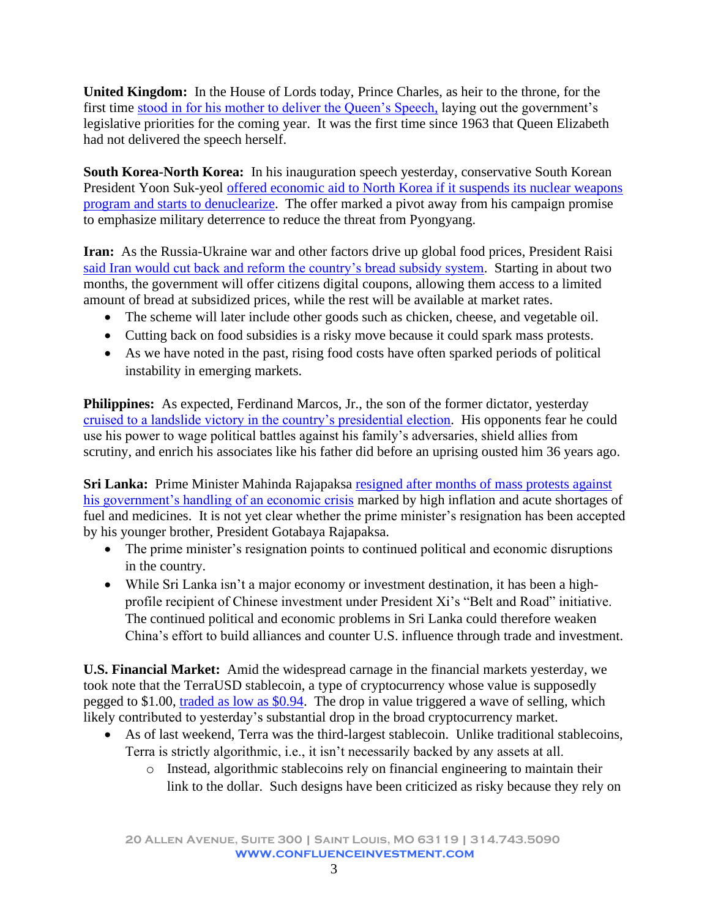**United Kingdom:** In the House of Lords today, Prince Charles, as heir to the throne, for the first time [stood in for his mother to deliver the Queen's Speech,](https://www.standard.co.uk/news/politics/queens-speech-live-latest-news-prince-charles-boris-johnson-parliament-opening-b999057.html) laying out the government's legislative priorities for the coming year. It was the first time since 1963 that Queen Elizabeth had not delivered the speech herself.

**South Korea-North Korea:** In his inauguration speech yesterday, conservative South Korean President Yoon Suk-yeol [offered economic aid to North Korea if it suspends its nuclear weapons](https://www.wsj.com/articles/south-koreas-new-president-offers-pyongyang-economic-aid-for-denuclearization-11652157081)  [program and starts to denuclearize.](https://www.wsj.com/articles/south-koreas-new-president-offers-pyongyang-economic-aid-for-denuclearization-11652157081) The offer marked a pivot away from his campaign promise to emphasize military deterrence to reduce the threat from Pyongyang.

**Iran:** As the Russia-Ukraine war and other factors drive up global food prices, President Raisi said Iran would [cut back and reform the country's bread subsidy system.](https://www.ft.com/content/15c77929-395a-4f28-a09e-c74c7c46a2ab) Starting in about two months, the government will offer citizens digital coupons, allowing them access to a limited amount of bread at subsidized prices, while the rest will be available at market rates.

- The scheme will later include other goods such as chicken, cheese, and vegetable oil.
- Cutting back on food subsidies is a risky move because it could spark mass protests.
- As we have noted in the past, rising food costs have often sparked periods of political instability in emerging markets.

**Philippines:** As expected, Ferdinand Marcos, Jr., the son of the former dictator, yesterday [cruised to a landslide victory in the country's presidential election.](https://www.wsj.com/articles/another-marcos-rises-in-the-philippines-but-how-does-he-plan-to-govern-11652170387?mod=hp_lead_pos9) His opponents fear he could use his power to wage political battles against his family's adversaries, shield allies from scrutiny, and enrich his associates like his father did before an uprising ousted him 36 years ago.

**Sri Lanka:** Prime Minister Mahinda Rajapaksa resigned after months of mass protests against [his government's handling of an economic crisis](https://www.wsj.com/articles/sri-lankan-prime-minister-resigns-11652100861) marked by high inflation and acute shortages of fuel and medicines. It is not yet clear whether the prime minister's resignation has been accepted by his younger brother, President Gotabaya Rajapaksa.

- The prime minister's resignation points to continued political and economic disruptions in the country.
- While Sri Lanka isn't a major economy or investment destination, it has been a highprofile recipient of Chinese investment under President Xi's "Belt and Road" initiative. The continued political and economic problems in Sri Lanka could therefore weaken China's effort to build alliances and counter U.S. influence through trade and investment.

**U.S. Financial Market:** Amid the widespread carnage in the financial markets yesterday, we took note that the TerraUSD stablecoin, a type of cryptocurrency whose value is supposedly pegged to \$1.00, [traded as low as \\$0.94.](https://www.wsj.com/articles/cryptocurrency-terrausd-falls-below-fixed-value-triggering-selloff-11652122461?mod=Searchresults_pos1&page=1) The drop in value triggered a wave of selling, which likely contributed to yesterday's substantial drop in the broad cryptocurrency market.

- As of last weekend, Terra was the third-largest stablecoin. Unlike traditional stablecoins, Terra is strictly algorithmic, i.e., it isn't necessarily backed by any assets at all.
	- o Instead, algorithmic stablecoins rely on financial engineering to maintain their link to the dollar. Such designs have been criticized as risky because they rely on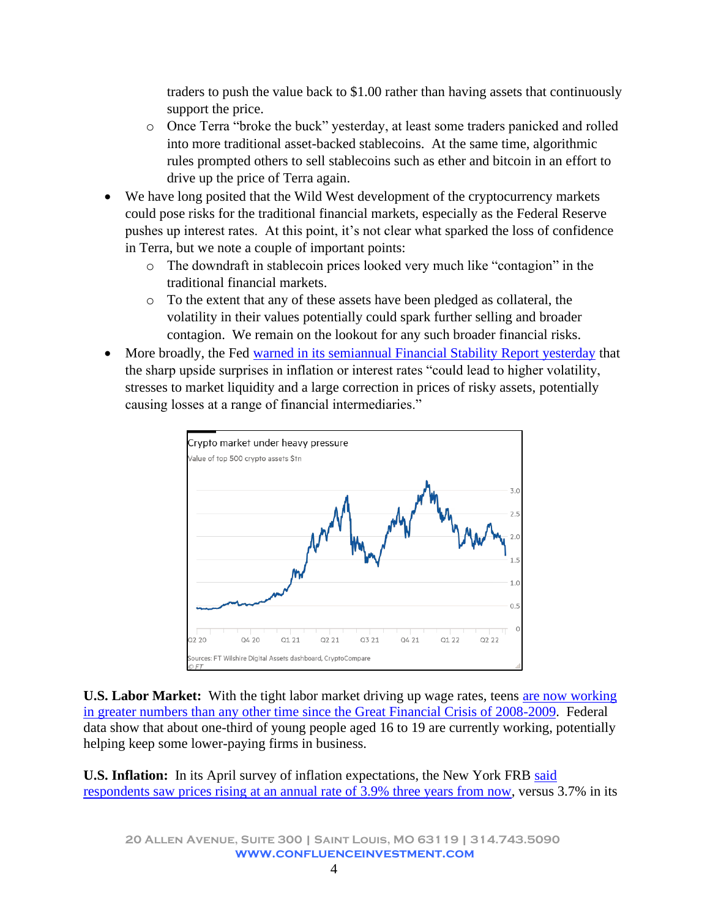traders to push the value back to \$1.00 rather than having assets that continuously support the price.

- o Once Terra "broke the buck" yesterday, at least some traders panicked and rolled into more traditional asset-backed stablecoins. At the same time, algorithmic rules prompted others to sell stablecoins such as ether and bitcoin in an effort to drive up the price of Terra again.
- We have long posited that the Wild West development of the cryptocurrency markets could pose risks for the traditional financial markets, especially as the Federal Reserve pushes up interest rates. At this point, it's not clear what sparked the loss of confidence in Terra, but we note a couple of important points:
	- o The downdraft in stablecoin prices looked very much like "contagion" in the traditional financial markets.
	- o To the extent that any of these assets have been pledged as collateral, the volatility in their values potentially could spark further selling and broader contagion. We remain on the lookout for any such broader financial risks.
- More broadly, the Fed [warned in its semiannual Financial Stability Report yesterday](https://www.ft.com/content/0dafe9f5-84f0-41b4-8a3c-190ee2a54781) that the sharp upside surprises in inflation or interest rates "could lead to higher volatility, stresses to market liquidity and a large correction in prices of risky assets, potentially causing losses at a range of financial intermediaries."



**U.S. Labor Market:** With the tight labor market driving up wage rates, teens [are now working](https://www.wsj.com/articles/teen-jobs-higher-pay-better-hours-teens-jump-into-hot-job-market-11651866919)  [in greater numbers than any other time since the Great Financial Crisis of 2008-2009.](https://www.wsj.com/articles/teen-jobs-higher-pay-better-hours-teens-jump-into-hot-job-market-11651866919) Federal data show that about one-third of young people aged 16 to 19 are currently working, potentially helping keep some lower-paying firms in business.

**U.S. Inflation:** In its April survey of inflation expectations, the New York FRB [said](https://www.newyorkfed.org/microeconomics/sce#/inflexp-3)  [respondents saw prices rising at an annual rate of 3.9% three years from now,](https://www.newyorkfed.org/microeconomics/sce#/inflexp-3) versus 3.7% in its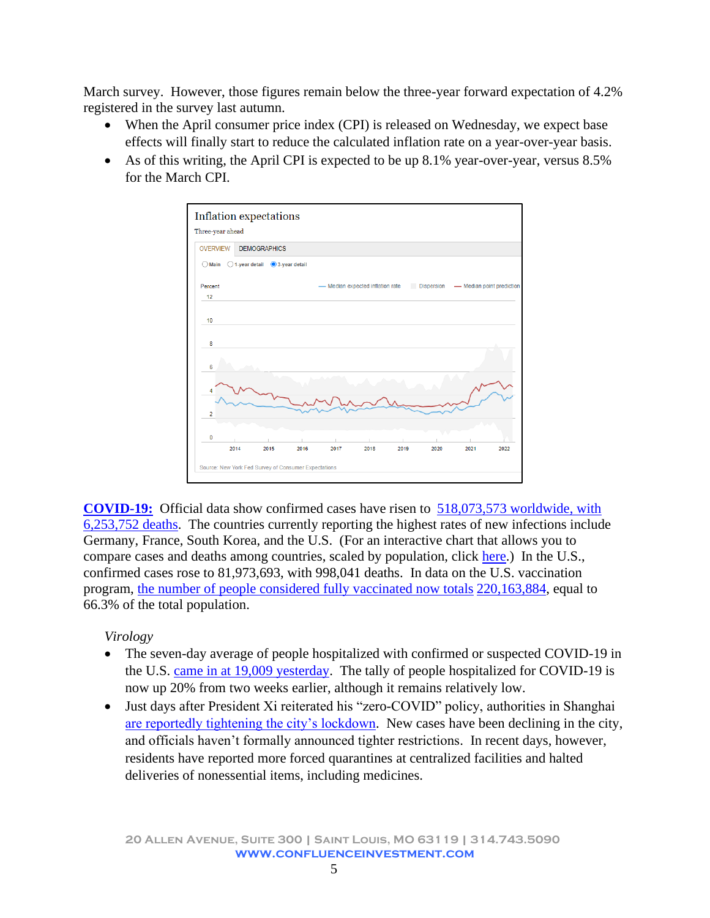March survey. However, those figures remain below the three-year forward expectation of 4.2% registered in the survey last autumn.

- When the April consumer price index (CPI) is released on Wednesday, we expect base effects will finally start to reduce the calculated inflation rate on a year-over-year basis.
- As of this writing, the April CPI is expected to be up 8.1% year-over-year, versus 8.5% for the March CPI.



**[COVID-19:](https://www.nytimes.com/live/2022/05/10/world/covid-19-mandates-vaccine-cases?name=styln-coronavirus®ion=TOP_BANNER&block=storyline_menu_recirc&action=click&pgtype=Article&variant=show&is_new=false)** Official data show confirmed cases have risen to [518,073,573 worldwide, with](https://coronavirus.jhu.edu/map.html)  [6,253,752 deaths.](https://coronavirus.jhu.edu/map.html) The countries currently reporting the highest rates of new infections include Germany, France, South Korea, and the U.S. (For an interactive chart that allows you to compare cases and deaths among countries, scaled by population, click [here.](https://ig.ft.com/coronavirus-chart/?areas=usa&areas=gbr&cumulative=0&logScale=1&perMillion=0&values=deaths)) In the U.S., confirmed cases rose to 81,973,693, with 998,041 deaths. In data on the U.S. vaccination program, [the number of people considered fully vaccinated now totals](https://covid.cdc.gov/covid-data-tracker/#vaccinations) 220,163,884, equal to 66.3% of the total population.

# *Virology*

- The seven-day average of people hospitalized with confirmed or suspected COVID-19 in the U.S. [came in at 19,009 yesterday.](https://www.nytimes.com/interactive/2021/us/covid-cases.html?name=styln-coronavirus®ion=TOP_BANNER&block=storyline_menu_recirc&action=click&pgtype=LegacyCollection&variant=1_BlueLink&is_new=false) The tally of people hospitalized for COVID-19 is now up 20% from two weeks earlier, although it remains relatively low.
- Just days after President Xi reiterated his "zero-COVID" policy, authorities in Shanghai [are reportedly tightening the city's lockdown.](https://www.wsj.com/articles/shanghai-tightens-pandemic-rules-as-beijing-calls-for-victory-over-virus-11652102133) New cases have been declining in the city, and officials haven't formally announced tighter restrictions. In recent days, however, residents have reported more forced quarantines at centralized facilities and halted deliveries of nonessential items, including medicines.

**20 Allen Avenue, Suite 300 | Saint Louis, MO 63119 | 314.743.5090 www.confluenceinvestment.com**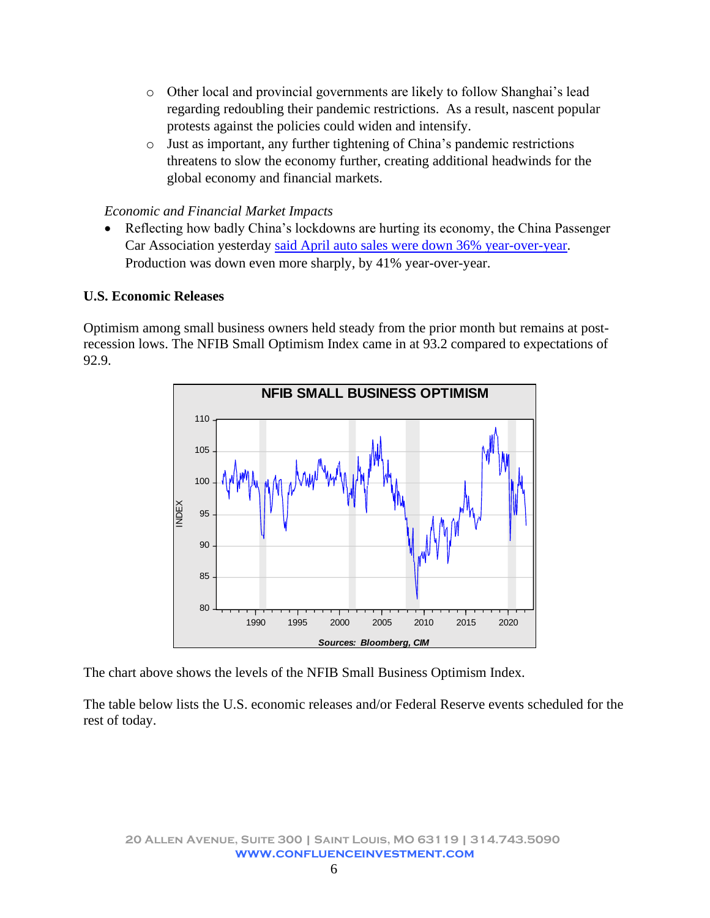- o Other local and provincial governments are likely to follow Shanghai's lead regarding redoubling their pandemic restrictions. As a result, nascent popular protests against the policies could widen and intensify.
- o Just as important, any further tightening of China's pandemic restrictions threatens to slow the economy further, creating additional headwinds for the global economy and financial markets.

## *Economic and Financial Market Impacts*

• Reflecting how badly China's lockdowns are hurting its economy, the China Passenger Car Association yesterday [said April auto sales were down 36% year-over-year.](https://www.wsj.com/articles/tesla-among-biggest-losers-as-chinas-car-sales-fall-on-covid-lockdowns-11652181998?mod=hp_lista_pos2) Production was down even more sharply, by 41% year-over-year.

### **U.S. Economic Releases**

Optimism among small business owners held steady from the prior month but remains at postrecession lows. The NFIB Small Optimism Index came in at 93.2 compared to expectations of 92.9.



The chart above shows the levels of the NFIB Small Business Optimism Index.

The table below lists the U.S. economic releases and/or Federal Reserve events scheduled for the rest of today.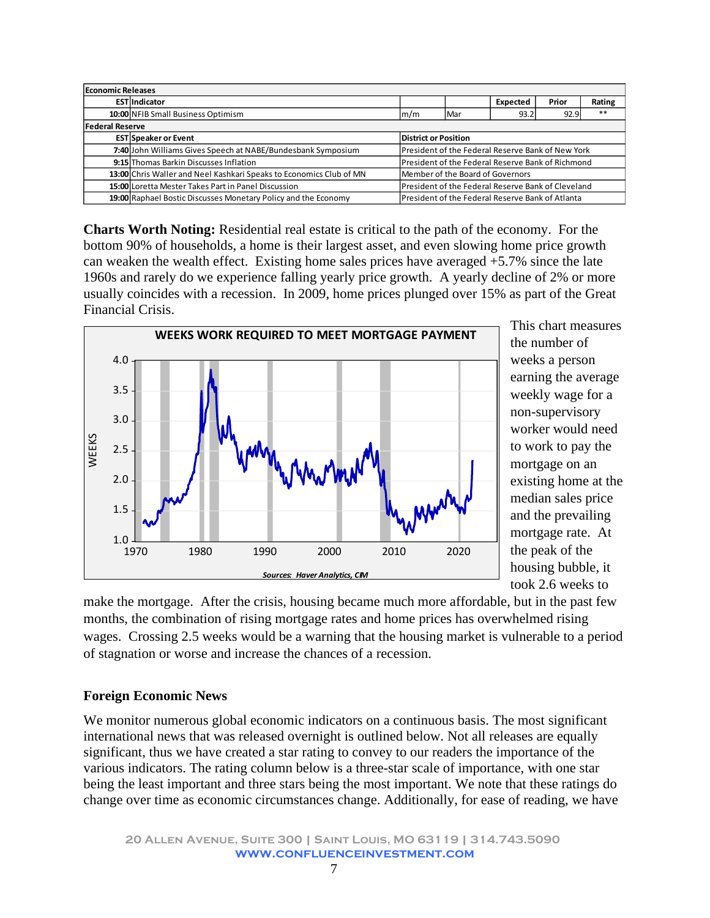| <b>Economic Releases</b> |                                                                                                                    |                                                    |                                                   |          |       |        |  |
|--------------------------|--------------------------------------------------------------------------------------------------------------------|----------------------------------------------------|---------------------------------------------------|----------|-------|--------|--|
|                          | <b>EST</b> Indicator                                                                                               |                                                    |                                                   | Expected | Prior | Rating |  |
|                          | 10:00 NFIB Small Business Optimism                                                                                 | 92.9<br>93.2<br>Mar<br>$\mathsf{m}/\mathsf{m}$     |                                                   |          |       | $***$  |  |
| <b>Federal Reserve</b>   |                                                                                                                    |                                                    |                                                   |          |       |        |  |
|                          | <b>EST Speaker or Event</b>                                                                                        | <b>District or Position</b>                        |                                                   |          |       |        |  |
|                          | 7:40 John Williams Gives Speech at NABE/Bundesbank Symposium                                                       |                                                    | President of the Federal Reserve Bank of New York |          |       |        |  |
|                          | 9:15 Thomas Barkin Discusses Inflation<br>President of the Federal Reserve Bank of Richmond                        |                                                    |                                                   |          |       |        |  |
|                          | 13:00 Chris Waller and Neel Kashkari Speaks to Economics Club of MN                                                | Member of the Board of Governors                   |                                                   |          |       |        |  |
|                          | 15:00 Loretta Mester Takes Part in Panel Discussion                                                                | President of the Federal Reserve Bank of Cleveland |                                                   |          |       |        |  |
|                          | 19:00 Raphael Bostic Discusses Monetary Policy and the Economy<br>President of the Federal Reserve Bank of Atlanta |                                                    |                                                   |          |       |        |  |

<span id="page-6-0"></span>**Charts Worth Noting:** Residential real estate is critical to the path of the economy. For the bottom 90% of households, a home is their largest asset, and even slowing home price growth can weaken the wealth effect. Existing home sales prices have averaged +5.7% since the late 1960s and rarely do we experience falling yearly price growth. A yearly decline of 2% or more usually coincides with a recession. In 2009, home prices plunged over 15% as part of the Great Financial Crisis.



This chart measures the number of weeks a person earning the average weekly wage for a non-supervisory worker would need to work to pay the mortgage on an existing home at the median sales price and the prevailing mortgage rate. At the peak of the housing bubble, it took 2.6 weeks to

make the mortgage. After the crisis, housing became much more affordable, but in the past few months, the combination of rising mortgage rates and home prices has overwhelmed rising wages. Crossing 2.5 weeks would be a warning that the housing market is vulnerable to a period of stagnation or worse and increase the chances of a recession.

#### **Foreign Economic News**

We monitor numerous global economic indicators on a continuous basis. The most significant international news that was released overnight is outlined below. Not all releases are equally significant, thus we have created a star rating to convey to our readers the importance of the various indicators. The rating column below is a three-star scale of importance, with one star being the least important and three stars being the most important. We note that these ratings do change over time as economic circumstances change. Additionally, for ease of reading, we have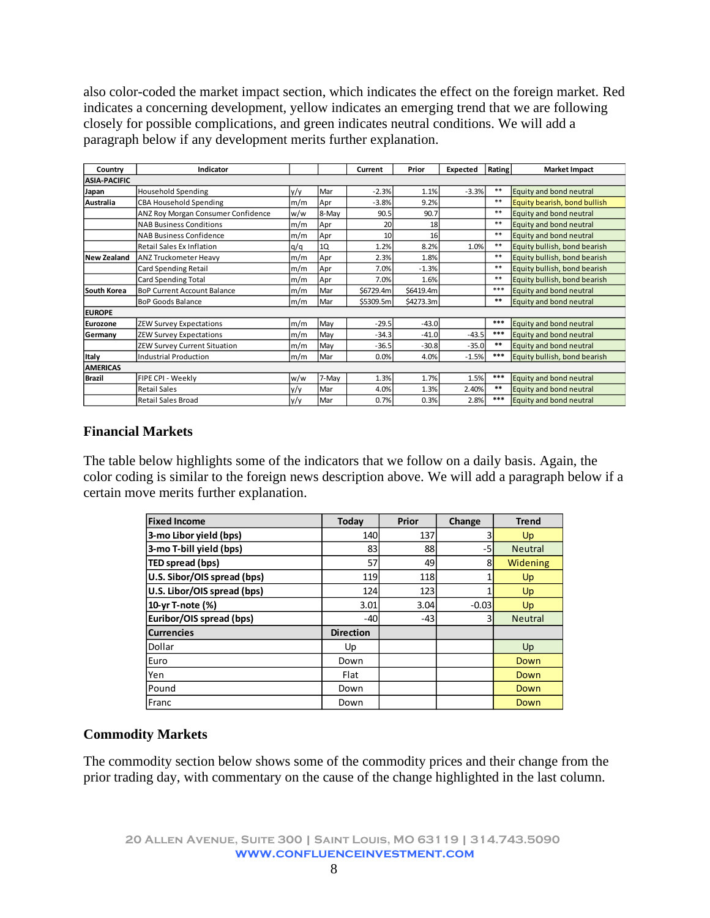also color-coded the market impact section, which indicates the effect on the foreign market. Red indicates a concerning development, yellow indicates an emerging trend that we are following closely for possible complications, and green indicates neutral conditions. We will add a paragraph below if any development merits further explanation.

| Country             | Indicator                          |     |       | Current   | Prior     | Expected | Rating | <b>Market Impact</b>         |
|---------------------|------------------------------------|-----|-------|-----------|-----------|----------|--------|------------------------------|
| <b>ASIA-PACIFIC</b> |                                    |     |       |           |           |          |        |                              |
| Japan               | <b>Household Spending</b>          | y/y | Mar   | $-2.3%$   | 1.1%      | $-3.3%$  | $***$  | Equity and bond neutral      |
| Australia           | <b>CBA Household Spending</b>      | m/m | Apr   | $-3.8%$   | 9.2%      |          | $***$  | Equity bearish, bond bullish |
|                     | ANZ Roy Morgan Consumer Confidence | w/w | 8-May | 90.5      | 90.7      |          | $**$   | Equity and bond neutral      |
|                     | <b>NAB Business Conditions</b>     | m/m | Apr   | 20        | 18        |          | $***$  | Equity and bond neutral      |
|                     | <b>NAB Business Confidence</b>     | m/m | Apr   | 10        | 16        |          | $**$   | Equity and bond neutral      |
|                     | Retail Sales Ex Inflation          | q/q | 1Q    | 1.2%      | 8.2%      | 1.0%     | $***$  | Equity bullish, bond bearish |
| <b>New Zealand</b>  | <b>ANZ Truckometer Heavy</b>       | m/m | Apr   | 2.3%      | 1.8%      |          | $**$   | Equity bullish, bond bearish |
|                     | <b>Card Spending Retail</b>        | m/m | Apr   | 7.0%      | $-1.3%$   |          | $**$   | Equity bullish, bond bearish |
|                     | <b>Card Spending Total</b>         | m/m | Apr   | 7.0%      | 1.6%      |          | $***$  | Equity bullish, bond bearish |
| South Korea         | <b>BoP Current Account Balance</b> | m/m | Mar   | \$6729.4m | \$6419.4m |          | $***$  | Equity and bond neutral      |
|                     | <b>BoP Goods Balance</b>           | m/m | Mar   | \$5309.5m | \$4273.3m |          | $***$  | Equity and bond neutral      |
| <b>EUROPE</b>       |                                    |     |       |           |           |          |        |                              |
| Eurozone            | <b>ZEW Survey Expectations</b>     | m/m | May   | $-29.5$   | $-43.0$   |          | ***    | Equity and bond neutral      |
| Germany             | <b>ZEW Survey Expectations</b>     | m/m | May   | $-34.3$   | $-41.0$   | $-43.5$  | $***$  | Equity and bond neutral      |
|                     | ZEW Survey Current Situation       | m/m | May   | $-36.5$   | $-30.8$   | $-35.0$  | $***$  | Equity and bond neutral      |
| Italy               | <b>Industrial Production</b>       | m/m | Mar   | 0.0%      | 4.0%      | $-1.5%$  | $***$  | Equity bullish, bond bearish |
| <b>AMERICAS</b>     |                                    |     |       |           |           |          |        |                              |
| <b>Brazil</b>       | FIPE CPI - Weekly                  | w/w | 7-May | 1.3%      | 1.7%      | 1.5%     | $***$  | Equity and bond neutral      |
|                     | <b>Retail Sales</b>                | y/y | Mar   | 4.0%      | 1.3%      | 2.40%    | $***$  | Equity and bond neutral      |
|                     | <b>Retail Sales Broad</b>          | y/y | Mar   | 0.7%      | 0.3%      | 2.8%     | $***$  | Equity and bond neutral      |

### **Financial Markets**

The table below highlights some of the indicators that we follow on a daily basis. Again, the color coding is similar to the foreign news description above. We will add a paragraph below if a certain move merits further explanation.

| <b>Fixed Income</b>         | <b>Today</b>     | Prior | Change  | <b>Trend</b>   |  |
|-----------------------------|------------------|-------|---------|----------------|--|
| 3-mo Libor yield (bps)      | 140              | 137   |         | Up             |  |
| 3-mo T-bill yield (bps)     | 83               | 88    | -5      | <b>Neutral</b> |  |
| TED spread (bps)            | 57               | 49    | 8       | Widening       |  |
| U.S. Sibor/OIS spread (bps) | 119              | 118   |         | Up             |  |
| U.S. Libor/OIS spread (bps) | 124              | 123   |         | <b>Up</b>      |  |
| 10-yr T-note (%)            | 3.01             | 3.04  | $-0.03$ | Up             |  |
| Euribor/OIS spread (bps)    | $-40$            | $-43$ | 3       | <b>Neutral</b> |  |
| <b>Currencies</b>           | <b>Direction</b> |       |         |                |  |
| Dollar                      | Up               |       |         | Up             |  |
| Euro                        | Down             |       |         | Down           |  |
| Yen                         | Flat             |       |         | Down           |  |
| Pound                       | Down             |       |         | Down           |  |
| Franc                       | Down             |       |         | Down           |  |

#### **Commodity Markets**

The commodity section below shows some of the commodity prices and their change from the prior trading day, with commentary on the cause of the change highlighted in the last column.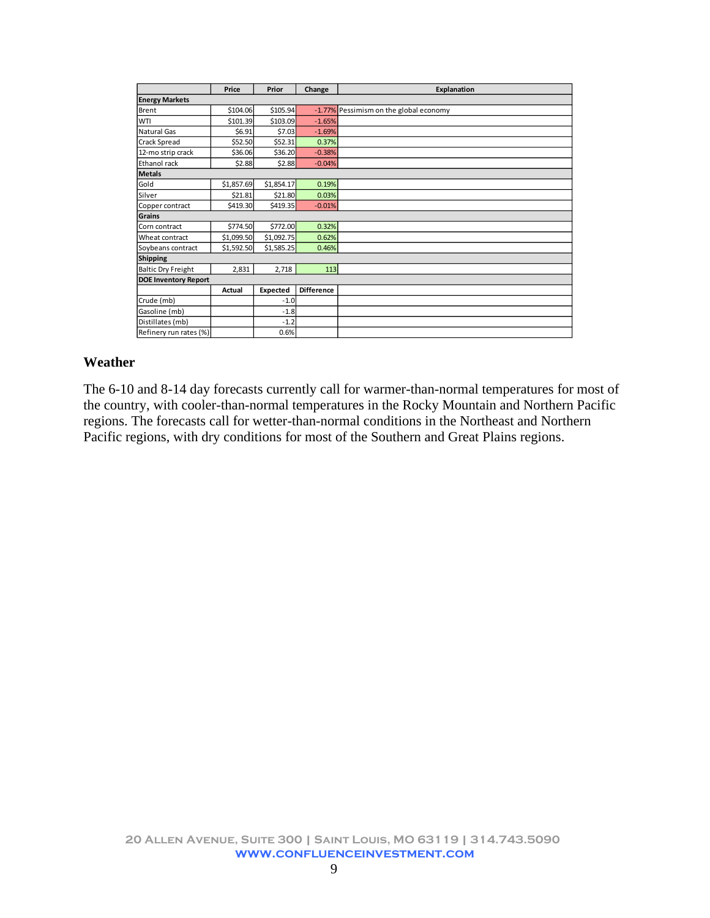|                             | Price      | Prior      | Change            | Explanation                            |  |  |  |  |
|-----------------------------|------------|------------|-------------------|----------------------------------------|--|--|--|--|
| <b>Energy Markets</b>       |            |            |                   |                                        |  |  |  |  |
| Brent                       | \$104.06   | \$105.94   |                   | -1.77% Pessimism on the global economy |  |  |  |  |
| WTI                         | \$101.39   | \$103.09   | $-1.65%$          |                                        |  |  |  |  |
| Natural Gas                 | \$6.91     | \$7.03     | $-1.69%$          |                                        |  |  |  |  |
| Crack Spread                | \$52.50    | \$52.31    | 0.37%             |                                        |  |  |  |  |
| 12-mo strip crack           | \$36.06    | \$36.20    | $-0.38%$          |                                        |  |  |  |  |
| Ethanol rack                | \$2.88     | \$2.88     | $-0.04%$          |                                        |  |  |  |  |
| <b>Metals</b>               |            |            |                   |                                        |  |  |  |  |
| Gold                        | \$1,857.69 | \$1,854.17 | 0.19%             |                                        |  |  |  |  |
| Silver                      | \$21.81    | \$21.80    | 0.03%             |                                        |  |  |  |  |
| Copper contract             | \$419.30   | \$419.35   | $-0.01%$          |                                        |  |  |  |  |
| Grains                      |            |            |                   |                                        |  |  |  |  |
| Corn contract               | \$774.50   | \$772.00   | 0.32%             |                                        |  |  |  |  |
| Wheat contract              | \$1,099.50 | \$1,092.75 | 0.62%             |                                        |  |  |  |  |
| Soybeans contract           | \$1,592.50 | \$1,585.25 | 0.46%             |                                        |  |  |  |  |
| Shipping                    |            |            |                   |                                        |  |  |  |  |
| <b>Baltic Dry Freight</b>   | 2,831      | 2,718      | 113               |                                        |  |  |  |  |
| <b>DOE Inventory Report</b> |            |            |                   |                                        |  |  |  |  |
|                             | Actual     | Expected   | <b>Difference</b> |                                        |  |  |  |  |
| Crude (mb)                  |            | $-1.0$     |                   |                                        |  |  |  |  |
| Gasoline (mb)               |            | $-1.8$     |                   |                                        |  |  |  |  |
| Distillates (mb)            |            | $-1.2$     |                   |                                        |  |  |  |  |
| Refinery run rates (%)      |            | 0.6%       |                   |                                        |  |  |  |  |

#### **Weather**

The 6-10 and 8-14 day forecasts currently call for warmer-than-normal temperatures for most of the country, with cooler-than-normal temperatures in the Rocky Mountain and Northern Pacific regions. The forecasts call for wetter-than-normal conditions in the Northeast and Northern Pacific regions, with dry conditions for most of the Southern and Great Plains regions.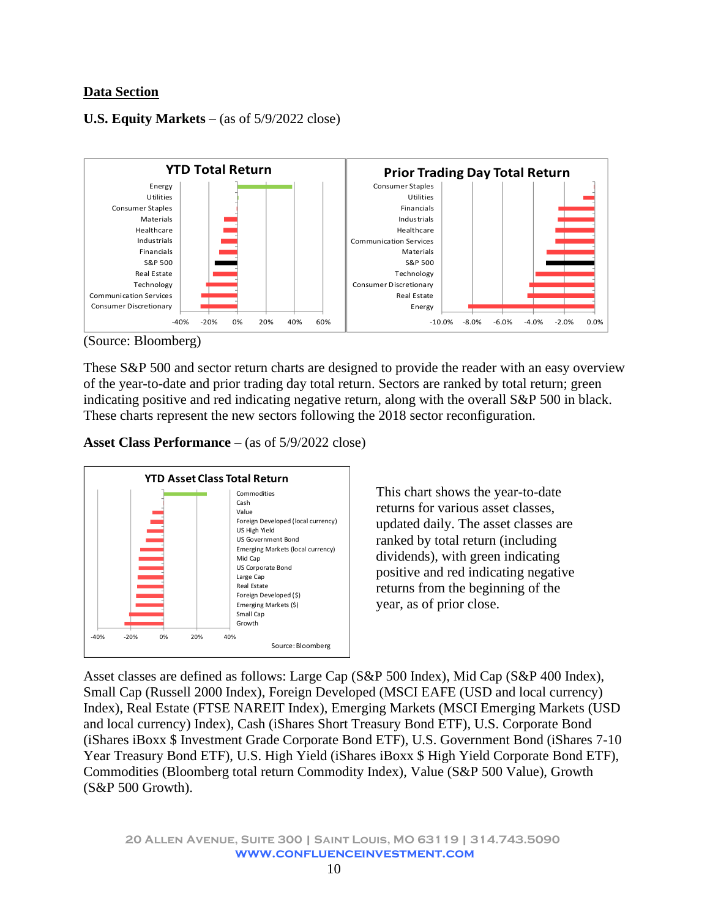# **Data Section**

### **U.S. Equity Markets** – (as of 5/9/2022 close)



(Source: Bloomberg)

These S&P 500 and sector return charts are designed to provide the reader with an easy overview of the year-to-date and prior trading day total return. Sectors are ranked by total return; green indicating positive and red indicating negative return, along with the overall S&P 500 in black. These charts represent the new sectors following the 2018 sector reconfiguration.

**Asset Class Performance** – (as of 5/9/2022 close)



This chart shows the year-to-date returns for various asset classes, updated daily. The asset classes are ranked by total return (including dividends), with green indicating positive and red indicating negative returns from the beginning of the year, as of prior close.

Asset classes are defined as follows: Large Cap (S&P 500 Index), Mid Cap (S&P 400 Index), Small Cap (Russell 2000 Index), Foreign Developed (MSCI EAFE (USD and local currency) Index), Real Estate (FTSE NAREIT Index), Emerging Markets (MSCI Emerging Markets (USD and local currency) Index), Cash (iShares Short Treasury Bond ETF), U.S. Corporate Bond (iShares iBoxx \$ Investment Grade Corporate Bond ETF), U.S. Government Bond (iShares 7-10 Year Treasury Bond ETF), U.S. High Yield (iShares iBoxx \$ High Yield Corporate Bond ETF), Commodities (Bloomberg total return Commodity Index), Value (S&P 500 Value), Growth (S&P 500 Growth).

**20 Allen Avenue, Suite 300 | Saint Louis, MO 63119 | 314.743.5090 www.confluenceinvestment.com**